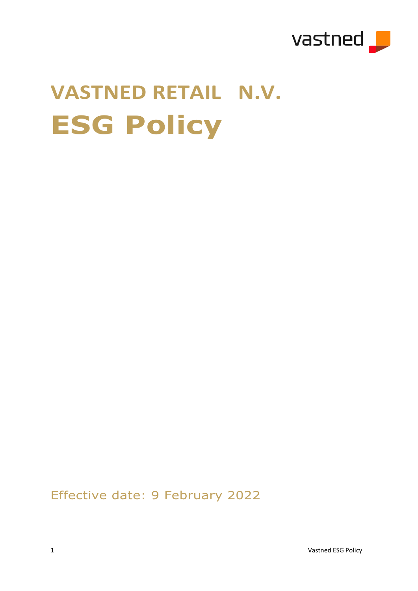

# **VASTNED RETAIL N.V. ESG Policy**

Effective date: 9 February 2022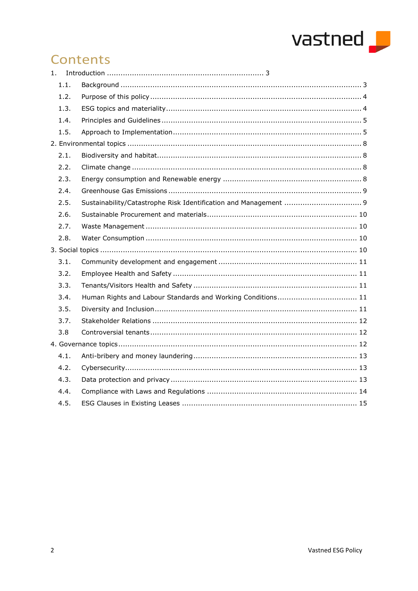

# Contents

<span id="page-1-0"></span>

| 1. |      |  |  |  |  |
|----|------|--|--|--|--|
|    | 1.1. |  |  |  |  |
|    | 1.2. |  |  |  |  |
|    | 1.3. |  |  |  |  |
|    | 1.4. |  |  |  |  |
|    | 1.5. |  |  |  |  |
|    |      |  |  |  |  |
|    | 2.1. |  |  |  |  |
|    | 2.2. |  |  |  |  |
|    | 2.3. |  |  |  |  |
|    | 2.4. |  |  |  |  |
|    | 2.5. |  |  |  |  |
|    | 2.6. |  |  |  |  |
|    | 2.7. |  |  |  |  |
|    | 2.8. |  |  |  |  |
|    |      |  |  |  |  |
|    | 3.1. |  |  |  |  |
|    | 3.2. |  |  |  |  |
|    | 3.3. |  |  |  |  |
|    | 3.4. |  |  |  |  |
|    | 3.5. |  |  |  |  |
|    | 3.7. |  |  |  |  |
|    | 3.8  |  |  |  |  |
|    |      |  |  |  |  |
|    | 4.1. |  |  |  |  |
|    | 4.2. |  |  |  |  |
|    | 4.3. |  |  |  |  |
|    | 4.4. |  |  |  |  |
|    | 4.5. |  |  |  |  |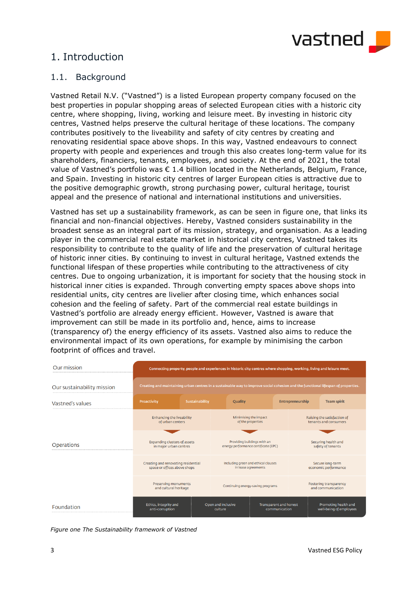

# 1. Introduction

# <span id="page-2-0"></span>1.1. Background

Vastned Retail N.V. ("Vastned") is a listed European property company focused on the best properties in popular shopping areas of selected European cities with a historic city centre, where shopping, living, working and leisure meet. By investing in historic city centres, Vastned helps preserve the cultural heritage of these locations. The company contributes positively to the liveability and safety of city centres by creating and renovating residential space above shops. In this way, Vastned endeavours to connect property with people and experiences and trough this also creates long-term value for its shareholders, financiers, tenants, employees, and society. At the end of 2021, the total value of Vastned's portfolio was  $\epsilon$  1.4 billion located in the Netherlands, Belgium, France, and Spain. Investing in historic city centres of larger European cities is attractive due to the positive demographic growth, strong purchasing power, cultural heritage, tourist appeal and the presence of national and international institutions and universities.

Vastned has set up a sustainability framework, as can be seen in figure one, that links its financial and non-financial objectives. Hereby, Vastned considers sustainability in the broadest sense as an integral part of its mission, strategy, and organisation. As a leading player in the commercial real estate market in historical city centres, Vastned takes its responsibility to contribute to the quality of life and the preservation of cultural heritage of historic inner cities. By continuing to invest in cultural heritage, Vastned extends the functional lifespan of these properties while contributing to the attractiveness of city centres. Due to ongoing urbanization, it is important for society that the housing stock in historical inner cities is expanded. Through converting empty spaces above shops into residential units, city centres are livelier after closing time, which enhances social cohesion and the feeling of safety. Part of the commercial real estate buildings in Vastned's portfolio are already energy efficient. However, Vastned is aware that improvement can still be made in its portfolio and, hence, aims to increase (transparency of) the energy efficiency of its assets. Vastned also aims to reduce the environmental impact of its own operations, for example by minimising the carbon footprint of offices and travel.

| Our mission                | Connecting property, people and experiences in historic city centres where shopping, working, living and leisure meet.<br>Creating and maintaining urban centres in a sustainable way to improve social cohesion and the functional lifespan of properties. |                |                                                                     |                                         |                                                      |                                                 |  |
|----------------------------|-------------------------------------------------------------------------------------------------------------------------------------------------------------------------------------------------------------------------------------------------------------|----------------|---------------------------------------------------------------------|-----------------------------------------|------------------------------------------------------|-------------------------------------------------|--|
| Our sustainability mission |                                                                                                                                                                                                                                                             |                |                                                                     |                                         |                                                      |                                                 |  |
| Vastned's values           | Proactivity                                                                                                                                                                                                                                                 | Sustainability | Quality                                                             |                                         | Entrepreneurship                                     | <b>Team spirit</b>                              |  |
|                            | Enhancing the liveability<br>of urban centers                                                                                                                                                                                                               |                | Minimising the impact<br>of the properties                          |                                         | Raising the satisfaction of<br>tenants and consumers |                                                 |  |
| <b>Operations</b>          | <b>Expanding clusters of assets</b><br>in major urban centres                                                                                                                                                                                               |                | Providing buildings with an<br>energy performance certificate (EPC) |                                         | Securing health and<br>safety of tenants             |                                                 |  |
|                            | Creating and renovating residential<br>space or offices above shops                                                                                                                                                                                         |                | Including green and ethical clauses<br>in lease agreements          |                                         | Secure long-term<br>economic performance             |                                                 |  |
|                            | <b>Preserving monuments</b><br>and cultural heritage                                                                                                                                                                                                        |                | Continuing energy-saving programs                                   |                                         | Fostering transparency<br>and communication          |                                                 |  |
| Foundation                 | Ethics, integrity and<br>anti-corruption                                                                                                                                                                                                                    |                | Open and inclusive<br>culture                                       | Transparent and honest<br>communication |                                                      | Promoting health and<br>well-being of employees |  |

*Figure one The Sustainability framework of Vastned*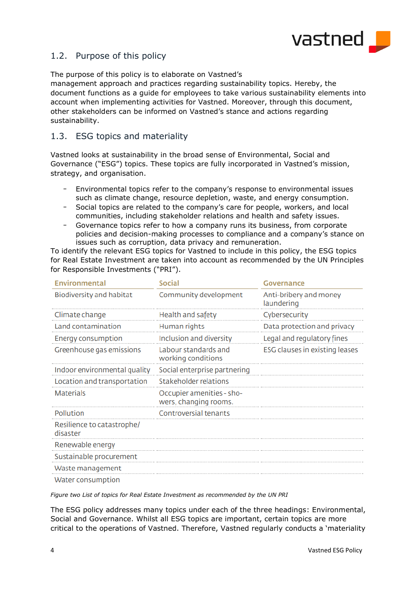

# <span id="page-3-0"></span>1.2. Purpose of this policy

The purpose of this policy is to elaborate on Vastned's

management approach and practices regarding sustainability topics. Hereby, the document functions as a guide for employees to take various sustainability elements into account when implementing activities for Vastned. Moreover, through this document, other stakeholders can be informed on Vastned's stance and actions regarding sustainability.

# <span id="page-3-1"></span>1.3. ESG topics and materiality

Vastned looks at sustainability in the broad sense of Environmental, Social and Governance ("ESG") topics. These topics are fully incorporated in Vastned's mission, strategy, and organisation.

- Environmental topics refer to the company's response to environmental issues such as climate change, resource depletion, waste, and energy consumption.
- Social topics are related to the company's care for people, workers, and local communities, including stakeholder relations and health and safety issues.
- Governance topics refer to how a company runs its business, from corporate policies and decision-making processes to compliance and a company's stance on issues such as corruption, data privacy and remuneration.

To identify the relevant ESG topics for Vastned to include in this policy, the ESG topics for Real Estate Investment are taken into account as recommended by the UN Principles for Responsible Investments ("PRI").

| <b>Environmental</b>                   | <b>Social</b>                                      | Governance                           |  |  |
|----------------------------------------|----------------------------------------------------|--------------------------------------|--|--|
| Biodiversity and habitat               | Community development                              | Anti-bribery and money<br>laundering |  |  |
| Climate change                         | Health and safety                                  | Cybersecurity                        |  |  |
| Land contamination                     | Human rights                                       | Data protection and privacy          |  |  |
| Energy consumption                     | Inclusion and diversity                            | Legal and regulatory fines           |  |  |
| Greenhouse gas emissions               | Labour standards and<br>working conditions         | ESG clauses in existing leases       |  |  |
| Indoor environmental quality           | Social enterprise partnering                       |                                      |  |  |
| Location and transportation            | Stakeholder relations                              |                                      |  |  |
| <b>Materials</b>                       | Occupier amenities - sho-<br>wers, changing rooms. |                                      |  |  |
| Pollution                              | <b>Controversial tenants</b>                       |                                      |  |  |
| Resilience to catastrophe/<br>disaster |                                                    |                                      |  |  |
| Renewable energy                       |                                                    |                                      |  |  |
| Sustainable procurement                |                                                    |                                      |  |  |
| Waste management                       |                                                    |                                      |  |  |
| Water consumption                      |                                                    |                                      |  |  |

*Figure two List of topics for Real Estate Investment as recommended by the UN PRI*

The ESG policy addresses many topics under each of the three headings: Environmental, Social and Governance. Whilst all ESG topics are important, certain topics are more critical to the operations of Vastned. Therefore, Vastned regularly conducts a 'materiality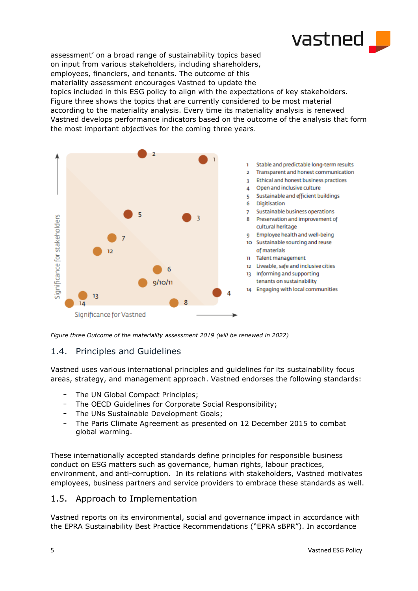

assessment' on a broad range of sustainability topics based on input from various stakeholders, including shareholders, employees, financiers, and tenants. The outcome of this materiality assessment encourages Vastned to update the topics included in this ESG policy to align with the expectations of key stakeholders. Figure three shows the topics that are currently considered to be most material according to the materiality analysis. Every time its materiality analysis is renewed Vastned develops performance indicators based on the outcome of the analysis that form the most important objectives for the coming three years.



*Figure three Outcome of the materiality assessment 2019 (will be renewed in 2022)*

# <span id="page-4-0"></span>1.4. Principles and Guidelines

Vastned uses various international principles and guidelines for its sustainability focus areas, strategy, and management approach. Vastned endorses the following standards:

- The UN Global Compact Principles;
- The OECD Guidelines for Corporate Social Responsibility;
- The UNs Sustainable Development Goals;
- The Paris Climate Agreement as presented on 12 December 2015 to combat global warming.

These internationally accepted standards define principles for responsible business conduct on ESG matters such as governance, human rights, labour practices, environment, and anti-corruption. In its relations with stakeholders, Vastned motivates employees, business partners and service providers to embrace these standards as well.

# <span id="page-4-1"></span>1.5. Approach to Implementation

Vastned reports on its environmental, social and governance impact in accordance with the EPRA Sustainability Best Practice Recommendations ("EPRA sBPR"). In accordance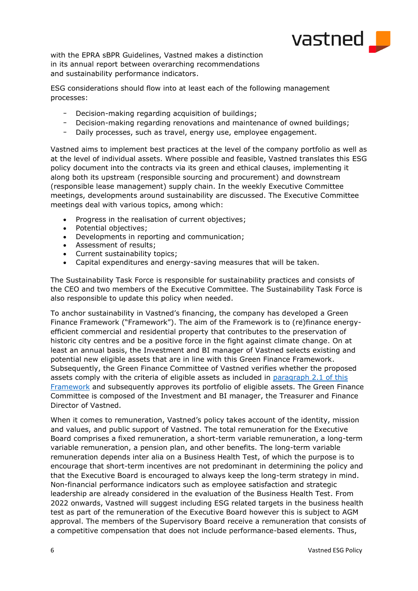

with the EPRA sBPR Guidelines, Vastned makes a distinction in its annual report between overarching recommendations and sustainability performance indicators.

ESG considerations should flow into at least each of the following management processes:

- Decision-making regarding acquisition of buildings;
- Decision-making regarding renovations and maintenance of owned buildings;
- Daily processes, such as travel, energy use, employee engagement.

Vastned aims to implement best practices at the level of the company portfolio as well as at the level of individual assets. Where possible and feasible, Vastned translates this ESG policy document into the contracts via its green and ethical clauses, implementing it along both its upstream (responsible sourcing and procurement) and downstream (responsible lease management) supply chain. In the weekly Executive Committee meetings, developments around sustainability are discussed. The Executive Committee meetings deal with various topics, among which:

- Progress in the realisation of current objectives;
- Potential objectives;
- Developments in reporting and communication;
- Assessment of results;
- Current sustainability topics;
- Capital expenditures and energy-saving measures that will be taken.

The Sustainability Task Force is responsible for sustainability practices and consists of the CEO and two members of the Executive Committee. The Sustainability Task Force is also responsible to update this policy when needed.

To anchor sustainability in Vastned's financing, the company has developed a Green Finance Framework ("Framework"). The aim of the Framework is to (re)finance energyefficient commercial and residential property that contributes to the preservation of historic city centres and be a positive force in the fight against climate change. On at least an annual basis, the Investment and BI manager of Vastned selects existing and potential new eligible assets that are in line with this Green Finance Framework. Subsequently, the Green Finance Committee of Vastned verifies whether the proposed assets comply with the criteria of eligible assets as included in [paragraph 2.1 of this](https://vastned.com/en/investor-relations/green-finance-framework)  [Framework](https://vastned.com/en/investor-relations/green-finance-framework) and subsequently approves its portfolio of eligible assets. The Green Finance Committee is composed of the Investment and BI manager, the Treasurer and Finance Director of Vastned.

When it comes to remuneration, Vastned's policy takes account of the identity, mission and values, and public support of Vastned. The total remuneration for the Executive Board comprises a fixed remuneration, a short-term variable remuneration, a long-term variable remuneration, a pension plan, and other benefits. The long-term variable remuneration depends inter alia on a Business Health Test, of which the purpose is to encourage that short-term incentives are not predominant in determining the policy and that the Executive Board is encouraged to always keep the long-term strategy in mind. Non-financial performance indicators such as employee satisfaction and strategic leadership are already considered in the evaluation of the Business Health Test. From 2022 onwards, Vastned will suggest including ESG related targets in the business health test as part of the remuneration of the Executive Board however this is subject to AGM approval. The members of the Supervisory Board receive a remuneration that consists of a competitive compensation that does not include performance-based elements. Thus,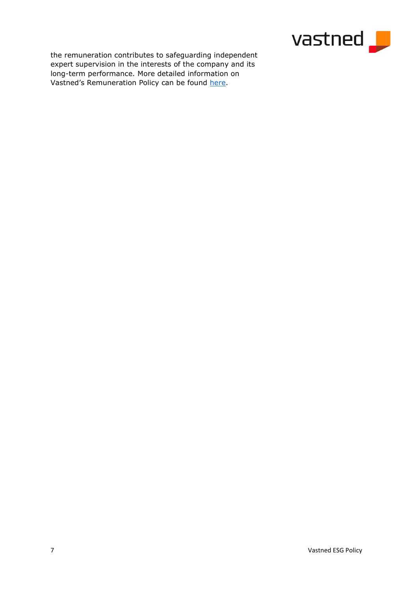

the remuneration contributes to safeguarding independent expert supervision in the interests of the company and its long-term performance. More detailed information on Vastned's Remuneration Policy can be found [here.](https://vastned.com/Upload/2018-Vastned-remuneration-policy.pdf)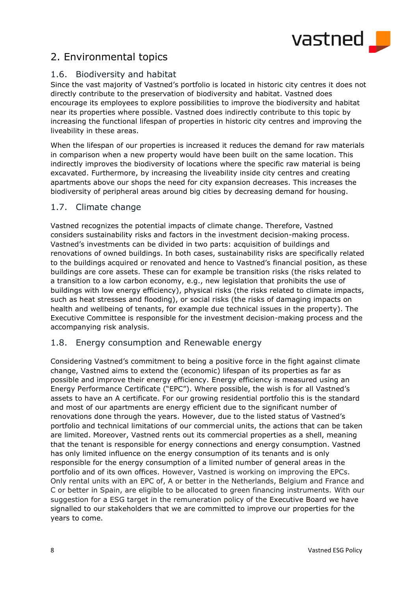

# <span id="page-7-0"></span>2. Environmental topics

# <span id="page-7-1"></span>1.6. Biodiversity and habitat

Since the vast majority of Vastned's portfolio is located in historic city centres it does not directly contribute to the preservation of biodiversity and habitat. Vastned does encourage its employees to explore possibilities to improve the biodiversity and habitat near its properties where possible. Vastned does indirectly contribute to this topic by increasing the functional lifespan of properties in historic city centres and improving the liveability in these areas.

When the lifespan of our properties is increased it reduces the demand for raw materials in comparison when a new property would have been built on the same location. This indirectly improves the biodiversity of locations where the specific raw material is being excavated. Furthermore, by increasing the liveability inside city centres and creating apartments above our shops the need for city expansion decreases. This increases the biodiversity of peripheral areas around big cities by decreasing demand for housing.

# <span id="page-7-2"></span>1.7. Climate change

Vastned recognizes the potential impacts of climate change. Therefore, Vastned considers sustainability risks and factors in the investment decision-making process. Vastned's investments can be divided in two parts: acquisition of buildings and renovations of owned buildings. In both cases, sustainability risks are specifically related to the buildings acquired or renovated and hence to Vastned's financial position, as these buildings are core assets. These can for example be transition risks (the risks related to a transition to a low carbon economy, e.g., new legislation that prohibits the use of buildings with low energy efficiency), physical risks (the risks related to climate impacts, such as heat stresses and flooding), or social risks (the risks of damaging impacts on health and wellbeing of tenants, for example due technical issues in the property). The Executive Committee is responsible for the investment decision-making process and the accompanying risk analysis.

# <span id="page-7-3"></span>1.8. Energy consumption and Renewable energy

Considering Vastned's commitment to being a positive force in the fight against climate change, Vastned aims to extend the (economic) lifespan of its properties as far as possible and improve their energy efficiency. Energy efficiency is measured using an Energy Performance Certificate ("EPC"). Where possible, the wish is for all Vastned's assets to have an A certificate. For our growing residential portfolio this is the standard and most of our apartments are energy efficient due to the significant number of renovations done through the years. However, due to the listed status of Vastned's portfolio and technical limitations of our commercial units, the actions that can be taken are limited. Moreover, Vastned rents out its commercial properties as a shell, meaning that the tenant is responsible for energy connections and energy consumption. Vastned has only limited influence on the energy consumption of its tenants and is only responsible for the energy consumption of a limited number of general areas in the portfolio and of its own offices. However, Vastned is working on improving the EPCs. Only rental units with an EPC of, A or better in the Netherlands, Belgium and France and C or better in Spain, are eligible to be allocated to green financing instruments. With our suggestion for a ESG target in the remuneration policy of the Executive Board we have signalled to our stakeholders that we are committed to improve our properties for the years to come.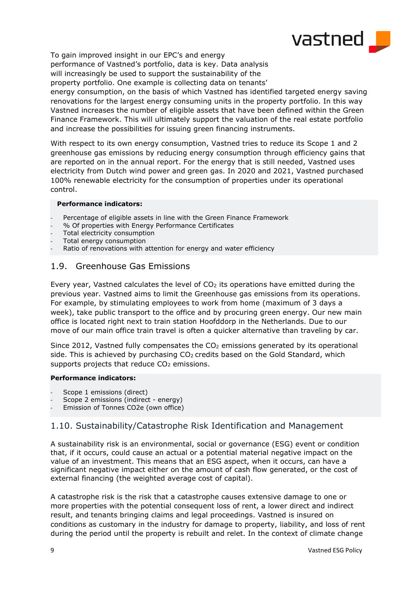

To gain improved insight in our EPC's and energy performance of Vastned's portfolio, data is key. Data analysis will increasingly be used to support the sustainability of the property portfolio. One example is collecting data on tenants' energy consumption, on the basis of which Vastned has identified targeted energy saving renovations for the largest energy consuming units in the property portfolio. In this way Vastned increases the number of eligible assets that have been defined within the Green

Finance Framework. This will ultimately support the valuation of the real estate portfolio and increase the possibilities for issuing green financing instruments. With respect to its own energy consumption, Vastned tries to reduce its Scope 1 and 2

greenhouse gas emissions by reducing energy consumption through efficiency gains that are reported on in the annual report. For the energy that is still needed, Vastned uses electricity from Dutch wind power and green gas. In 2020 and 2021, Vastned purchased 100% renewable electricity for the consumption of properties under its operational control.

## **Performance indicators:**

- Percentage of eligible assets in line with the Green Finance Framework
- % Of properties with Energy Performance Certificates
- Total electricity consumption
- Total energy consumption
- <span id="page-8-0"></span>Ratio of renovations with attention for energy and water efficiency

# 1.9. Greenhouse Gas Emissions

Every year, Vastned calculates the level of  $CO<sub>2</sub>$  its operations have emitted during the previous year. Vastned aims to limit the Greenhouse gas emissions from its operations. For example, by stimulating employees to work from home (maximum of 3 days a week), take public transport to the office and by procuring green energy. Our new main office is located right next to train station Hoofddorp in the Netherlands. Due to our move of our main office train travel is often a quicker alternative than traveling by car.

Since 2012, Vastned fully compensates the  $CO<sub>2</sub>$  emissions generated by its operational side. This is achieved by purchasing  $CO<sub>2</sub>$  credits based on the Gold Standard, which supports projects that reduce CO<sub>2</sub> emissions.

## **Performance indicators:**

- Scope 1 emissions (direct)
- Scope 2 emissions (indirect energy)
- Emission of Tonnes CO2e (own office)

# <span id="page-8-1"></span>1.10. Sustainability/Catastrophe Risk Identification and Management

A sustainability risk is an environmental, social or governance (ESG) event or condition that, if it occurs, could cause an actual or a potential material negative impact on the value of an investment. This means that an ESG aspect, when it occurs, can have a significant negative impact either on the amount of cash flow generated, or the cost of external financing (the weighted average cost of capital).

A catastrophe risk is the risk that a catastrophe causes extensive damage to one or more properties with the potential consequent loss of rent, a lower direct and indirect result, and tenants bringing claims and legal proceedings. Vastned is insured on conditions as customary in the industry for damage to property, liability, and loss of rent during the period until the property is rebuilt and relet. In the context of climate change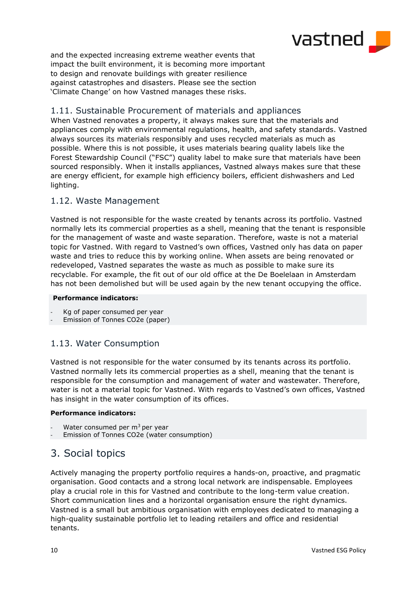

and the expected increasing extreme weather events that impact the built environment, it is becoming more important to design and renovate buildings with greater resilience against catastrophes and disasters. Please see the section 'Climate Change' on how Vastned manages these risks.

# <span id="page-9-0"></span>1.11. Sustainable Procurement of materials and appliances

When Vastned renovates a property, it always makes sure that the materials and appliances comply with environmental regulations, health, and safety standards. Vastned always sources its materials responsibly and uses recycled materials as much as possible. Where this is not possible, it uses materials bearing quality labels like the Forest Stewardship Council ("FSC") quality label to make sure that materials have been sourced responsibly. When it installs appliances, Vastned always makes sure that these are energy efficient, for example high efficiency boilers, efficient dishwashers and Led lighting.

# <span id="page-9-1"></span>1.12. Waste Management

Vastned is not responsible for the waste created by tenants across its portfolio. Vastned normally lets its commercial properties as a shell, meaning that the tenant is responsible for the management of waste and waste separation. Therefore, waste is not a material topic for Vastned. With regard to Vastned's own offices, Vastned only has data on paper waste and tries to reduce this by working online. When assets are being renovated or redeveloped, Vastned separates the waste as much as possible to make sure its recyclable. For example, the fit out of our old office at the De Boelelaan in Amsterdam has not been demolished but will be used again by the new tenant occupying the office.

## **Performance indicators:**

Kg of paper consumed per year

Emission of Tonnes CO2e (paper)

# <span id="page-9-2"></span>1.13. Water Consumption

Vastned is not responsible for the water consumed by its tenants across its portfolio. Vastned normally lets its commercial properties as a shell, meaning that the tenant is responsible for the consumption and management of water and wastewater. Therefore, water is not a material topic for Vastned. With regards to Vastned's own offices, Vastned has insight in the water consumption of its offices.

## **Performance indicators:**

- Water consumed per  $m<sup>3</sup>$  per year
- <span id="page-9-3"></span>Emission of Tonnes CO2e (water consumption)

# 3. Social topics

Actively managing the property portfolio requires a hands-on, proactive, and pragmatic organisation. Good contacts and a strong local network are indispensable. Employees play a crucial role in this for Vastned and contribute to the long-term value creation. Short communication lines and a horizontal organisation ensure the right dynamics. Vastned is a small but ambitious organisation with employees dedicated to managing a high-quality sustainable portfolio let to leading retailers and office and residential tenants.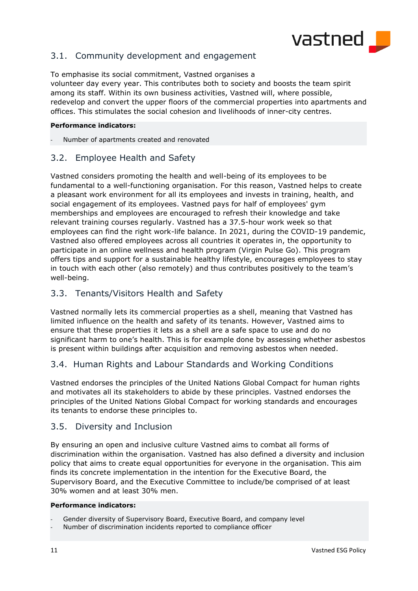

# <span id="page-10-0"></span>3.1. Community development and engagement

To emphasise its social commitment, Vastned organises a volunteer day every year. This contributes both to society and boosts the team spirit among its staff. Within its own business activities, Vastned will, where possible, redevelop and convert the upper floors of the commercial properties into apartments and offices. This stimulates the social cohesion and livelihoods of inner-city centres.

## **Performance indicators:**

Number of apartments created and renovated

## <span id="page-10-1"></span>3.2. Employee Health and Safety

Vastned considers promoting the health and well-being of its employees to be fundamental to a well-functioning organisation. For this reason, Vastned helps to create a pleasant work environment for all its employees and invests in training, health, and social engagement of its employees. Vastned pays for half of employees' gym memberships and employees are encouraged to refresh their knowledge and take relevant training courses regularly. Vastned has a 37.5-hour work week so that employees can find the right work-life balance. In 2021, during the COVID-19 pandemic, Vastned also offered employees across all countries it operates in, the opportunity to participate in an online wellness and health program (Virgin Pulse Go). This program offers tips and support for a sustainable healthy lifestyle, encourages employees to stay in touch with each other (also remotely) and thus contributes positively to the team's well-being.

## <span id="page-10-2"></span>3.3. Tenants/Visitors Health and Safety

Vastned normally lets its commercial properties as a shell, meaning that Vastned has limited influence on the health and safety of its tenants. However, Vastned aims to ensure that these properties it lets as a shell are a safe space to use and do no significant harm to one's health. This is for example done by assessing whether asbestos is present within buildings after acquisition and removing asbestos when needed.

# <span id="page-10-3"></span>3.4. Human Rights and Labour Standards and Working Conditions

Vastned endorses the principles of the United Nations Global Compact for human rights and motivates all its stakeholders to abide by these principles. Vastned endorses the principles of the United Nations Global Compact for working standards and encourages its tenants to endorse these principles to.

## <span id="page-10-4"></span>3.5. Diversity and Inclusion

By ensuring an open and inclusive culture Vastned aims to combat all forms of discrimination within the organisation. Vastned has also defined a diversity and inclusion policy that aims to create equal opportunities for everyone in the organisation. This aim finds its concrete implementation in the intention for the Executive Board, the Supervisory Board, and the Executive Committee to include/be comprised of at least 30% women and at least 30% men.

#### **Performance indicators:**

- Gender diversity of Supervisory Board, Executive Board, and company level
- Number of discrimination incidents reported to compliance officer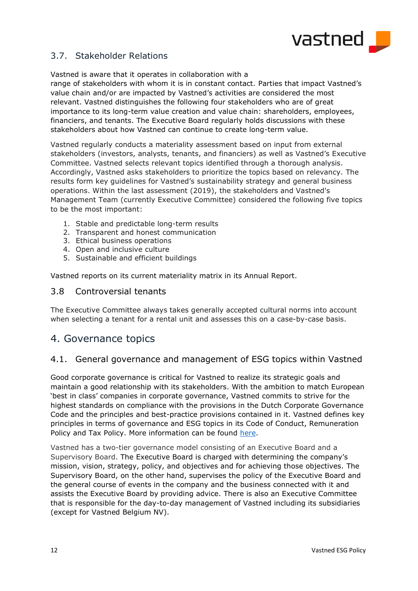

# <span id="page-11-0"></span>3.7. Stakeholder Relations

Vastned is aware that it operates in collaboration with a

range of stakeholders with whom it is in constant contact. Parties that impact Vastned's value chain and/or are impacted by Vastned's activities are considered the most relevant. Vastned distinguishes the following four stakeholders who are of great importance to its long-term value creation and value chain: shareholders, employees, financiers, and tenants. The Executive Board regularly holds discussions with these stakeholders about how Vastned can continue to create long-term value.

Vastned regularly conducts a materiality assessment based on input from external stakeholders (investors, analysts, tenants, and financiers) as well as Vastned's Executive Committee. Vastned selects relevant topics identified through a thorough analysis. Accordingly, Vastned asks stakeholders to prioritize the topics based on relevancy. The results form key guidelines for Vastned's sustainability strategy and general business operations. Within the last assessment (2019), the stakeholders and Vastned's Management Team (currently Executive Committee) considered the following five topics to be the most important:

- 1. Stable and predictable long-term results
- 2. Transparent and honest communication
- 3. Ethical business operations
- 4. Open and inclusive culture
- 5. Sustainable and efficient buildings

Vastned reports on its current materiality matrix in its Annual Report.

## <span id="page-11-1"></span>3.8 Controversial tenants

The Executive Committee always takes generally accepted cultural norms into account when selecting a tenant for a rental unit and assesses this on a case-by-case basis.

# <span id="page-11-2"></span>4. Governance topics

# 4.1. General governance and management of ESG topics within Vastned

Good corporate governance is critical for Vastned to realize its strategic goals and maintain a good relationship with its stakeholders. With the ambition to match European 'best in class' companies in corporate governance, Vastned commits to strive for the highest standards on compliance with the provisions in the Dutch Corporate Governance Code and the principles and best-practice provisions contained in it. Vastned defines key principles in terms of governance and ESG topics in its Code of Conduct, Remuneration Policy and Tax Policy. More information can be found [here.](https://vastned.com/en/corporate-governance/regulations_compliance)

Vastned has a two-tier governance model consisting of an Executive Board and a Supervisory Board. The Executive Board is charged with determining the company's mission, vision, strategy, policy, and objectives and for achieving those objectives. The Supervisory Board, on the other hand, supervises the policy of the Executive Board and the general course of events in the company and the business connected with it and assists the Executive Board by providing advice. There is also an Executive Committee that is responsible for the day-to-day management of Vastned including its subsidiaries (except for Vastned Belgium NV).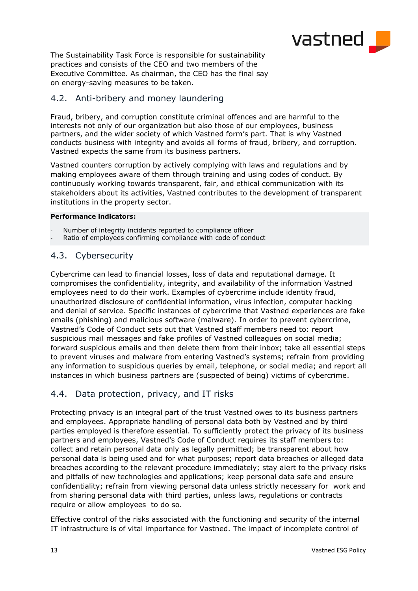

The Sustainability Task Force is responsible for sustainability practices and consists of the CEO and two members of the Executive Committee. As chairman, the CEO has the final say on energy-saving measures to be taken.

# <span id="page-12-0"></span>4.2. Anti-bribery and money laundering

Fraud, bribery, and corruption constitute criminal offences and are harmful to the interests not only of our organization but also those of our employees, business partners, and the wider society of which Vastned form's part. That is why Vastned conducts business with integrity and avoids all forms of fraud, bribery, and corruption. Vastned expects the same from its business partners.

Vastned counters corruption by actively complying with laws and regulations and by making employees aware of them through training and using codes of conduct. By continuously working towards transparent, fair, and ethical communication with its stakeholders about its activities, Vastned contributes to the development of transparent institutions in the property sector.

## **Performance indicators:**

- Number of integrity incidents reported to compliance officer
- <span id="page-12-1"></span>Ratio of employees confirming compliance with code of conduct

# 4.3. Cybersecurity

Cybercrime can lead to financial losses, loss of data and reputational damage. It compromises the confidentiality, integrity, and availability of the information Vastned employees need to do their work. Examples of cybercrime include identity fraud, unauthorized disclosure of confidential information, virus infection, computer hacking and denial of service. Specific instances of cybercrime that Vastned experiences are fake emails (phishing) and malicious software (malware). In order to prevent cybercrime, Vastned's Code of Conduct sets out that Vastned staff members need to: report suspicious mail messages and fake profiles of Vastned colleagues on social media; forward suspicious emails and then delete them from their inbox; take all essential steps to prevent viruses and malware from entering Vastned's systems; refrain from providing any information to suspicious queries by email, telephone, or social media; and report all instances in which business partners are (suspected of being) victims of cybercrime.

# <span id="page-12-2"></span>4.4. Data protection, privacy, and IT risks

Protecting privacy is an integral part of the trust Vastned owes to its business partners and employees. Appropriate handling of personal data both by Vastned and by third parties employed is therefore essential. To sufficiently protect the privacy of its business partners and employees, Vastned's Code of Conduct requires its staff members to: collect and retain personal data only as legally permitted; be transparent about how personal data is being used and for what purposes; report data breaches or alleged data breaches according to the relevant procedure immediately; stay alert to the privacy risks and pitfalls of new technologies and applications; keep personal data safe and ensure confidentiality; refrain from viewing personal data unless strictly necessary for work and from sharing personal data with third parties, unless laws, regulations or contracts require or allow employees to do so.

Effective control of the risks associated with the functioning and security of the internal IT infrastructure is of vital importance for Vastned. The impact of incomplete control of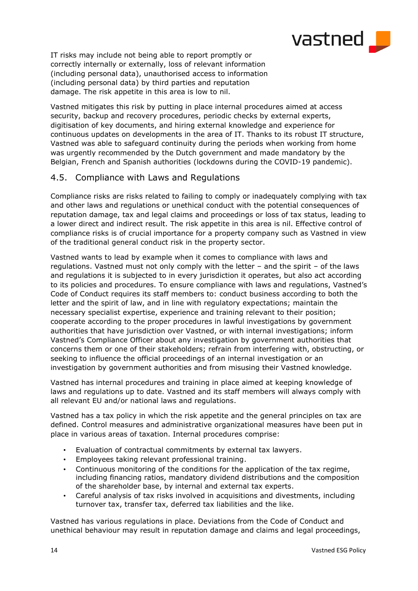

IT risks may include not being able to report promptly or correctly internally or externally, loss of relevant information (including personal data), unauthorised access to information (including personal data) by third parties and reputation damage. The risk appetite in this area is low to nil.

Vastned mitigates this risk by putting in place internal procedures aimed at access security, backup and recovery procedures, periodic checks by external experts, digitisation of key documents, and hiring external knowledge and experience for continuous updates on developments in the area of IT. Thanks to its robust IT structure, Vastned was able to safeguard continuity during the periods when working from home was urgently recommended by the Dutch government and made mandatory by the Belgian, French and Spanish authorities (lockdowns during the COVID-19 pandemic).

# <span id="page-13-0"></span>4.5. Compliance with Laws and Regulations

Compliance risks are risks related to failing to comply or inadequately complying with tax and other laws and regulations or unethical conduct with the potential consequences of reputation damage, tax and legal claims and proceedings or loss of tax status, leading to a lower direct and indirect result. The risk appetite in this area is nil. Effective control of compliance risks is of crucial importance for a property company such as Vastned in view of the traditional general conduct risk in the property sector.

Vastned wants to lead by example when it comes to compliance with laws and regulations. Vastned must not only comply with the letter – and the spirit – of the laws and regulations it is subjected to in every jurisdiction it operates, but also act according to its policies and procedures. To ensure compliance with laws and regulations, Vastned's Code of Conduct requires its staff members to: conduct business according to both the letter and the spirit of law, and in line with regulatory expectations; maintain the necessary specialist expertise, experience and training relevant to their position; cooperate according to the proper procedures in lawful investigations by government authorities that have jurisdiction over Vastned, or with internal investigations; inform Vastned's Compliance Officer about any investigation by government authorities that concerns them or one of their stakeholders; refrain from interfering with, obstructing, or seeking to influence the official proceedings of an internal investigation or an investigation by government authorities and from misusing their Vastned knowledge.

Vastned has internal procedures and training in place aimed at keeping knowledge of laws and regulations up to date. Vastned and its staff members will always comply with all relevant EU and/or national laws and regulations.

Vastned has a tax policy in which the risk appetite and the general principles on tax are defined. Control measures and administrative organizational measures have been put in place in various areas of taxation. Internal procedures comprise:

- Evaluation of contractual commitments by external tax lawyers.
- Employees taking relevant professional training.
- Continuous monitoring of the conditions for the application of the tax regime, including financing ratios, mandatory dividend distributions and the composition of the shareholder base, by internal and external tax experts.
- Careful analysis of tax risks involved in acquisitions and divestments, including turnover tax, transfer tax, deferred tax liabilities and the like.

Vastned has various regulations in place. Deviations from the Code of Conduct and unethical behaviour may result in reputation damage and claims and legal proceedings,